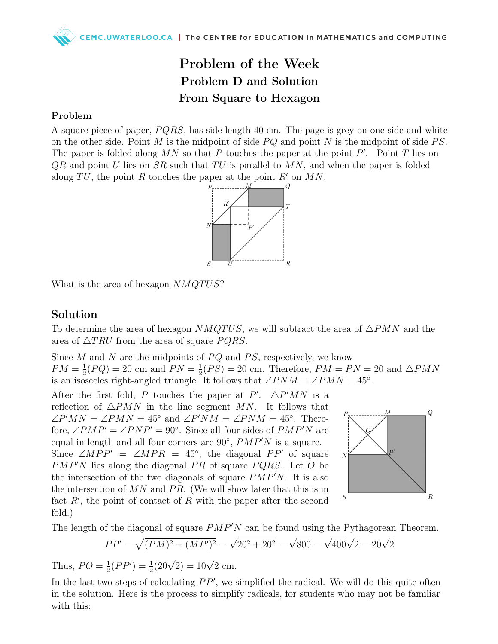## Problem of the Week Problem D and Solution From Square to Hexagon

## Problem

A square piece of paper,  $PQRS$ , has side length 40 cm. The page is grey on one side and white on the other side. Point M is the midpoint of side  $PQ$  and point N is the midpoint of side  $PS$ . The paper is folded along  $MN$  so that P touches the paper at the point P'. Point T lies on  $QR$  and point U lies on  $SR$  such that TU is parallel to  $MN$ , and when the paper is folded along TU, the point R touches the paper at the point R' on MN.



What is the area of hexagon  $NMQT US?$ 

## Solution

To determine the area of hexagon  $NMQTUS$ , we will subtract the area of  $\triangle PMN$  and the area of  $\triangle TRU$  from the area of square PQRS.

Since  $M$  and  $N$  are the midpoints of  $PQ$  and  $PS$ , respectively, we know  $PM = \frac{1}{2}$  $\frac{1}{2}(PQ) = 20$  cm and  $PN = \frac{1}{2}$  $\frac{1}{2}(PS) = 20$  cm. Therefore,  $PM = PN = 20$  and  $\triangle PMN$ is an isosceles right-angled triangle. It follows that  $\angle PNM = \angle PMN = 45^{\circ}$ .

After the first fold, P touches the paper at P'.  $\triangle P'MN$  is a reflection of  $\triangle PMN$  in the line segment MN. It follows that  $\angle P'MN = \angle PMN = 45^{\circ}$  and  $\angle P'NM = \angle PNM = 45^{\circ}$ . Therefore,  $\angle PMP' = \angle PNP' = 90^\circ$ . Since all four sides of  $PMP'N$  are equal in length and all four corners are  $90^{\circ}$ ,  $PMP'N$  is a square. Since  $\angle MPP' = \angle MPR = 45^{\circ}$ , the diagonal PP' of square  $PMP'N$  lies along the diagonal PR of square PQRS. Let O be the intersection of the two diagonals of square  $PMP'N$ . It is also the intersection of  $MN$  and  $PR$ . (We will show later that this is in fact  $R'$ , the point of contact of R with the paper after the second fold.)



The length of the diagonal of square  $PMP'N$  can be found using the Pythagorean Theorem.

$$
PP' = \sqrt{(PM)^2 + (MP')^2} = \sqrt{20^2 + 20^2} = \sqrt{800} = \sqrt{400}\sqrt{2} = 20\sqrt{2}
$$

Thus,  $PO = \frac{1}{2}$  $\frac{1}{2}(PP') = \frac{1}{2}(20\sqrt{2}) = 10\sqrt{2}$  cm.

In the last two steps of calculating  $PP'$ , we simplified the radical. We will do this quite often in the solution. Here is the process to simplify radicals, for students who may not be familiar with this: